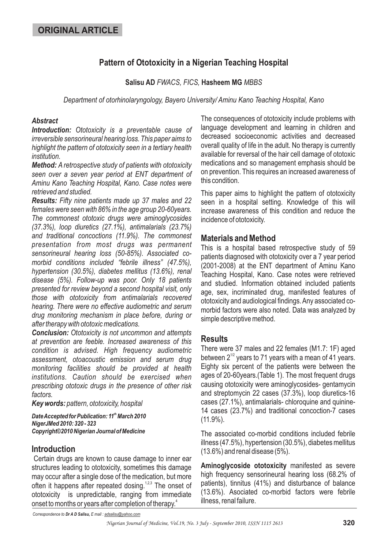# **Pattern of Ototoxicity in a Nigerian Teaching Hospital**

### Salisu AD FWACS, FICS, Hasheem MG MBBS

*Department of otorhinolaryngology, Bayero University/ Aminu Kano Teaching Hospital, Kano*

### *Abstract*

*Introduction: Ototoxicity is a preventable cause of irreversible sensorineural hearing loss. This paper aims to highlight the pattern of ototoxicity seen in a tertiary health institution.*

*Method: A retrospective study of patients with ototoxicity seen over a seven year period at ENT department of Aminu Kano Teaching Hospital, Kano. Case notes were retrieved and studied.*

*Results: Fifty nine patients made up 37 males and 22 females were seen with 86% in the age group 20-60years. The commonest ototoxic drugs were aminoglycosides (37.3%), loop diuretics (27.1%), antimalarials (23.7%) and traditional concoctions (11.9%). The commonest presentation from most drugs was permanent sensorineural hearing loss (50-85%). Associated comorbid conditions included "febrile illness" (47.5%), hypertension (30.5%), diabetes mellitus (13.6%), renal disease (5%). Follow-up was poor. Only 18 patients presented for review beyond a second hospital visit, only those with ototoxicity from antimalarials recovered hearing. There were no effective audiometric and serum drug monitoring mechanism in place before, during or after therapy with ototoxic medications.*

*Conclusion: Ototoxicity is not uncommon and attempts at prevention are feeble. Increased awareness of this condition is advised. High frequency audiometric assessment, otoacoustic emission and serum drug monitoring facilities should be provided at health institutions. Caution should be exercised when prescribing ototoxic drugs in the presence of other risk factors.*

*Key words: pattern, ototoxicity, hospital*

*DateAccepted for Publication: 11 March 2010 th NigerJMed 2010: 320 - 323 Copyright©2010 Nigerian Journal of Medicine*

# **Introduction**

Certain drugs are known to cause damage to inner ear structures leading to ototoxicity, sometimes this damage may occur after a single dose of the medication, but more often it happens after repeated dosing.<sup>1,2,3</sup> The onset of ototoxicity is unpredictable, ranging from immediate onset to months or years after completion of therapy. 4

The consequences of ototoxicity include problems with language development and learning in children and decreased socioeconomic activities and decreased overall quality of life in the adult. No therapy is currently available for reversal of the hair cell damage of ototoxic medications and so management emphasis should be on prevention. This requires an increased awareness of this condition.

This paper aims to highlight the pattern of ototoxicity seen in a hospital setting. Knowledge of this will increase awareness of this condition and reduce the incidence of ototoxicity.

## **Materials and Method**

This is a hospital based retrospective study of 59 patients diagnosed with ototoxicity over a 7 year period (2001-2008) at the ENT department of Aminu Kano Teaching Hospital, Kano. Case notes were retrieved and studied. Information obtained included patients age, sex, incriminated drug, manifested features of ototoxicity and audiological findings.Any associated comorbid factors were also noted. Data was analyzed by simple descriptive method.

# **Results**

There were 37 males and 22 females (M1.7: 1F) aged between 2 $^{1/2}$  years to 71 years with a mean of 41 years. Eighty six percent of the patients were between the ages of 20-60years.(Table 1). The most frequent drugs causing ototoxicity were aminoglycosides- gentamycin and streptomycin 22 cases (37.3%), loop diuretics-16 cases (27.1%), antimalarials- chloroquine and quinine-14 cases (23.7%) and traditional concoction-7 cases (11.9%).

The associated co-morbid conditions included febrile illness (47.5%), hypertension (30.5%), diabetes mellitus (13.6%) and renal disease (5%).

**Aminoglycoside ototoxicity** manifested as severe high frequency sensorineural hearing loss (68.2% of patients), tinnitus (41%) and disturbance of balance (13.6%). Asociated co-morbid factors were febrile illness, renal failure.

*Correspondence to E mail : Dr A D Salisu, adsalisu@yahoo.com*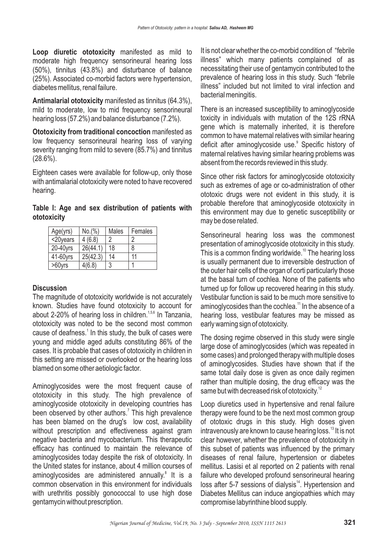**Loop diuretic ototoxicity** manifested as mild to moderate high frequency sensorineural hearing loss (50%), tinnitus (43.8%) and disturbance of balance (25%). Associated co-morbid factors were hypertension, diabetes mellitus, renal failure.

**Antimalarial ototoxicity** manifested as tinnitus (64.3%), mild to moderate, low to mid frequency sensorineural hearing loss (57.2%) and balance disturbance (7.2%).

**Ototoxicity from traditional concoction** manifested as low frequency sensorineural hearing loss of varying severity ranging from mild to severe (85.7%) and tinnitus  $(28.6\%)$ .

Eighteen cases were available for follow-up, only those with antimalarial ototoxicity were noted to have recovered hearing.

**Table I: Age and sex distribution of patients with ototoxicity**

| Age(yrs)  | No.(%)   | Males | Females |
|-----------|----------|-------|---------|
| <20years  | 4(6.8)   | 2     | 2       |
| 20-40yrs  | 26(44.1) | 18    | 8       |
| 41-60yrs  | 25(42.3) | 14    | 11      |
| $>60$ yrs | 4(6.8)   | 3     |         |

#### **Discussion**

The magnitude of ototoxicity worldwide is not accurately known. Studies have found ototoxicity to account for about 2-20% of hearing loss in children.<sup>1,5,6</sup> In Tanzania, ototoxicity was noted to be the second most common cause of deafness. $^1$  In this study, the bulk of cases were young and middle aged adults constituting 86% of the cases. It is probable that cases of ototoxicity in children in this setting are missed or overlooked or the hearing loss blamed on some other aetiologic factor.

Aminoglycosides were the most frequent cause of ototoxicity in this study. The high prevalence of aminoglycoside ototoxicity in developing countries has been observed by other authors.<sup>7</sup> This high prevalence has been blamed on the drug's low cost, availability without prescription and effectiveness against gram negative bacteria and mycobacterium. This therapeutic efficacy has continued to maintain the relevance of aminoglycosides today despite the risk of ototoxicity. In the United states for instance, about 4 million courses of aminoglycosides are administered annually.<sup>8</sup> It is a common observation in this environment for individuals with urethritis possibly gonococcal to use high dose gentamycin without prescription.

It is not clear whether the co-morbid condition of "febrile illness" which many patients complained of as necessitating their use of gentamycin contributed to the prevalence of hearing loss in this study. Such "febrile illness" included but not limited to viral infection and bacterial meningitis.

There is an increased susceptibility to aminoglycoside toxicity in individuals with mutation of the 12S rRNA gene which is maternally inherited, it is therefore common to have maternal relatives with similar hearing deficit after aminoglycoside use.<sup>9</sup> Specific history of maternal relatives having similar hearing problems was absent from the records reviewed in this study.

Since other risk factors for aminoglycoside ototoxicity such as extremes of age or co-administration of other ototoxic drugs were not evident in this study, it is probable therefore that aminoglycoside ototoxicity in this environment may due to genetic susceptibility or may be dose related.

Sensorineural hearing loss was the commonest presentation of aminoglycoside ototoxicity in this study. This is a common finding worldwide.<sup>10</sup> The hearing loss is usually permanent due to irreversible destruction of the outer hair cells of the organ of corti particularly those at the basal turn of cochlea. None of the patients who turned up for follow up recovered hearing in this study. Vestibular function is said to be much more sensitive to aminoglycosides than the cochlea. $^{\text{11}}$  In the absence of a hearing loss, vestibular features may be missed as early warning sign of ototoxicity.

The dosing regime observed in this study were single large dose of aminoglycosides (which was repeated in some cases) and prolonged therapy with multiple doses of aminoglycosides. Studies have shown that if the same total daily dose is given as once daily regimen rather than multiple dosing, the drug efficacy was the same but with decreased risk of ototoxicity. $^{12}$ 

Loop diuretics used in hypertensive and renal failure therapy were found to be the next most common group of ototoxic drugs in this study. High doses given intravenously are known to cause hearing loss.<sup>13</sup> It is not clear however, whether the prevalence of ototoxicity in this subset of patients was influenced by the primary diseases of renal failure, hypertension or diabetes mellitus. Lasisi et al reported on 2 patients with renal failure who developed profound sensorineural hearing loss after 5-7 sessions of dialysis<sup>14</sup>. Hypertension and Diabetes Mellitus can induce angiopathies which may compromise labyrinthine blood supply.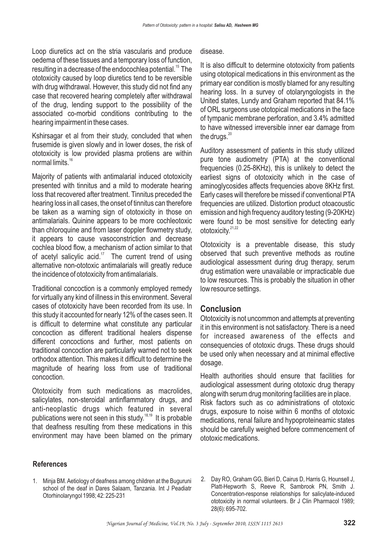Loop diuretics act on the stria vascularis and produce oedema of these tissues and a temporary loss of function, resulting in a decrease of the endocochlea potential. $^{\rm 15}$  The ototoxicity caused by loop diuretics tend to be reversible with drug withdrawal. However, this study did not find any case that recovered hearing completely after withdrawal of the drug, lending support to the possibility of the associated co-morbid conditions contributing to the hearing impairment in these cases.

Kshirsagar et al from their study, concluded that when frusemide is given slowly and in lower doses, the risk of ototoxicity is low provided plasma protiens are within normal limits. 16

Majority of patients with antimalarial induced ototoxicity presented with tinnitus and a mild to moderate hearing loss that recovered after treatment. Tinnitus preceded the hearing loss in all cases, the onset of tinnitus can therefore be taken as a warning sign of ototoxicity in those on antimalarials. Quinine appears to be more cochleotoxic than chloroquine and from laser doppler flowmetry study, it appears to cause vasoconstriction and decrease cochlea blood flow, a mechanism of action similar to that of acetyl salicylic acid.<sup>17</sup> The current trend of using alternative non-ototoxic antimalarials will greatly reduce the incidence of ototoxicity from antimalarials.

Traditional concoction is a commonly employed remedy for virtually any kind of illness in this environment. Several cases of ototoxicity have been recorded from its use. In this study it accounted for nearly 12% of the cases seen. It is difficult to determine what constitute any particular concoction as different traditional healers dispense different concoctions and further, most patients on traditional concoction are particularly warned not to seek orthodox attention. This makes it difficult to determine the magnitude of hearing loss from use of traditional concoction.

Ototoxicity from such medications as macrolides, salicylates, non-steroidal antinflammatory drugs, and anti-neoplastic drugs which featured in several publications were not seen in this study.<sup>18,19</sup> It is probable that deafness resulting from these medications in this environment may have been blamed on the primary

#### disease.

It is also difficult to determine ototoxicity from patients using ototopical medications in this environment as the primary ear condition is mostly blamed for any resulting hearing loss. In a survey of otolaryngologists in the United states, Lundy and Graham reported that 84.1% of ORL surgeons use ototopical medications in the face of tympanic membrane perforation, and 3.4% admitted to have witnessed irreversible inner ear damage from the drugs. $^{20}$ 

Auditory assessment of patients in this study utilized pure tone audiometry (PTA) at the conventional frequencies (0.25-8KHz), this is unlikely to detect the earliest signs of ototoxicity which in the case of aminoglycosides affects frequencies above 8KHz first. Early cases will therefore be missed if conventional PTA frequencies are utilized. Distortion product otoacoustic emission and high frequency auditory testing (9-20KHz) were found to be most sensitive for detecting early ototoxicity.<sup>21,22</sup>

Ototoxicity is a preventable disease, this study observed that such preventive methods as routine audiological assessment during drug therapy, serum drug estimation were unavailable or impracticable due to low resources. This is probably the situation in other low resource settings.

### **Conclusion**

Ototoxicity is not uncommon and attempts at preventing it in this environment is not satisfactory. There is a need for increased awareness of the effects and consequencies of ototoxic drugs. These drugs should be used only when necessary and at minimal effective dosage.

Health authorities should ensure that facilities for audiological assessment during ototoxic drug therapy along with serum drug monitoring facilities are in place. Risk factors such as co administrations of ototoxic drugs, exposure to noise within 6 months of ototoxic medications, renal failure and hypoproteineamic states should be carefully weighed before commencement of ototoxic medications.

#### **References**

- 1. Minja BM. Aetiology of deafness among children at the Buguruni school of the deaf in Dares Salaam, Tanzania. Int J Peadiatr Otorhinolaryngol 1998; 42: 225-231
- 2. Day RO, Graham GG, Bieri D, Cairus D, Harris G, Hounsell J, Platt-Hepworth S, Reeve R, Sambrook PN, Smith J. Concentration-response relationships for salicylate-induced ototoxicity in normal volunteers. Br J Clin Pharmacol 1989; 28(6): 695-702.